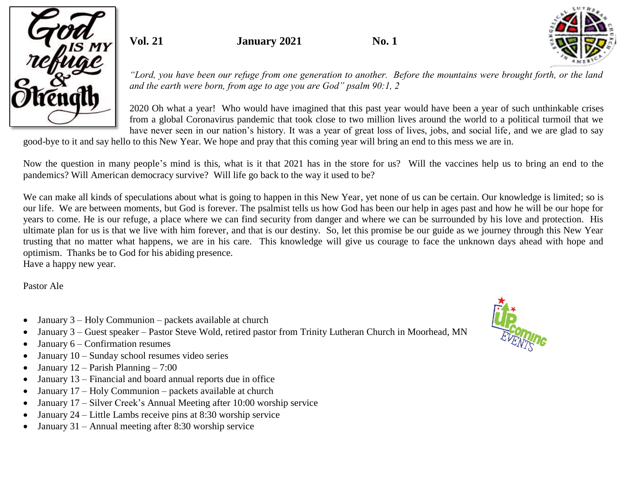

**Vol. 21 January 2021 No. 1**



*"Lord, you have been our refuge from one generation to another. Before the mountains were brought forth, or the land and the earth were born, from age to age you are God" psalm 90:1, 2*

2020 Oh what a year! Who would have imagined that this past year would have been a year of such unthinkable crises from a global Coronavirus pandemic that took close to two million lives around the world to a political turmoil that we have never seen in our nation's history. It was a year of great loss of lives, jobs, and social life, and we are glad to say

good-bye to it and say hello to this New Year. We hope and pray that this coming year will bring an end to this mess we are in.

Now the question in many people's mind is this, what is it that 2021 has in the store for us? Will the vaccines help us to bring an end to the pandemics? Will American democracy survive? Will life go back to the way it used to be?

We can make all kinds of speculations about what is going to happen in this New Year, yet none of us can be certain. Our knowledge is limited; so is our life. We are between moments, but God is forever. The psalmist tells us how God has been our help in ages past and how he will be our hope for years to come. He is our refuge, a place where we can find security from danger and where we can be surrounded by his love and protection. His ultimate plan for us is that we live with him forever, and that is our destiny. So, let this promise be our guide as we journey through this New Year trusting that no matter what happens, we are in his care. This knowledge will give us courage to face the unknown days ahead with hope and optimism. Thanks be to God for his abiding presence. Have a happy new year.

Pastor Ale

- January  $3 \text{Holy Communication}$  packets available at church
- January 3 Guest speaker Pastor Steve Wold, retired pastor from Trinity Lutheran Church in Moorhead, MN
- January 6 Confirmation resumes
- January 10 Sunday school resumes video series
- January  $12$  Parish Planning 7:00
- January 13 Financial and board annual reports due in office
- January 17 Holy Communion packets available at church
- January 17 Silver Creek's Annual Meeting after 10:00 worship service
- January 24 Little Lambs receive pins at 8:30 worship service
- January 31 Annual meeting after 8:30 worship service

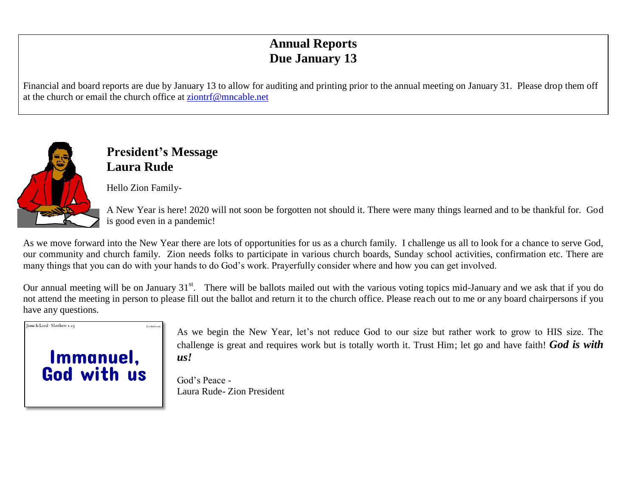## **Annual Reports Due January 13**

Financial and board reports are due by January 13 to allow for auditing and printing prior to the annual meeting on January 31. Please drop them off at the church or email the church office at [ziontrf@mncable.net](mailto:ziontrf@mncable.net)



# **President's Message Laura Rude**

Hello Zion Family-

A New Year is here! 2020 will not soon be forgotten not should it. There were many things learned and to be thankful for. God is good even in a pandemic!

As we move forward into the New Year there are lots of opportunities for us as a church family. I challenge us all to look for a chance to serve God, our community and church family. Zion needs folks to participate in various church boards, Sunday school activities, confirmation etc. There are many things that you can do with your hands to do God's work. Prayerfully consider where and how you can get involved.

Our annual meeting will be on January  $31<sup>st</sup>$ . There will be ballots mailed out with the various voting topics mid-January and we ask that if you do not attend the meeting in person to please fill out the ballot and return it to the church office. Please reach out to me or any board chairpersons if you have any questions.



As we begin the New Year, let's not reduce God to our size but rather work to grow to HIS size. The challenge is great and requires work but is totally worth it. Trust Him; let go and have faith! *God is with us!* 

God's Peace - Laura Rude- Zion President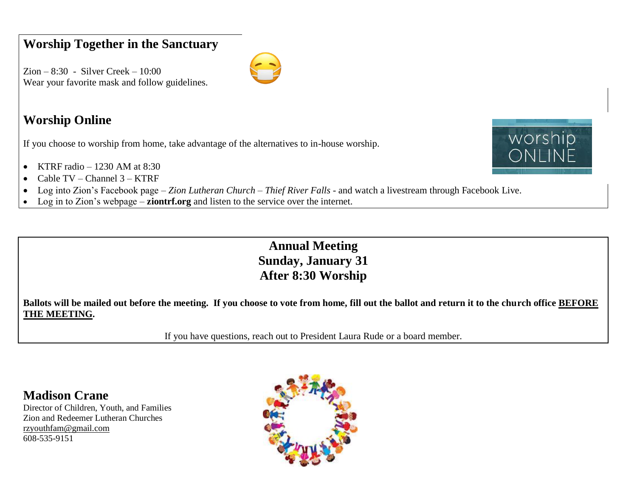## **Worship Together in the Sanctuary**

Zion – 8:30 - Silver Creek – 10:00 Wear your favorite mask and follow guidelines.

# **Worship Online**

If you choose to worship from home, take advantage of the alternatives to in-house worship.

- KTRF radio  $-1230$  AM at 8:30
- Cable  $TV$  Channel  $3$  KTRF
- Log into Zion's Facebook page *– Zion Lutheran Church – Thief River Falls*  and watch a livestream through Facebook Live.
- Log in to Zion's webpage **ziontrf.org** and listen to the service over the internet.

# **Annual Meeting Sunday, January 31 After 8:30 Worship**

**Ballots will be mailed out before the meeting. If you choose to vote from home, fill out the ballot and return it to the church office BEFORE THE MEETING.**

If you have questions, reach out to President Laura Rude or a board member.

# **Madison Crane**

Director of Children, Youth, and Families Zion and Redeemer Lutheran Churches [rzyouthfam@gmail.com](mailto:rzyouthfam@gmail.com) 608-535-9151



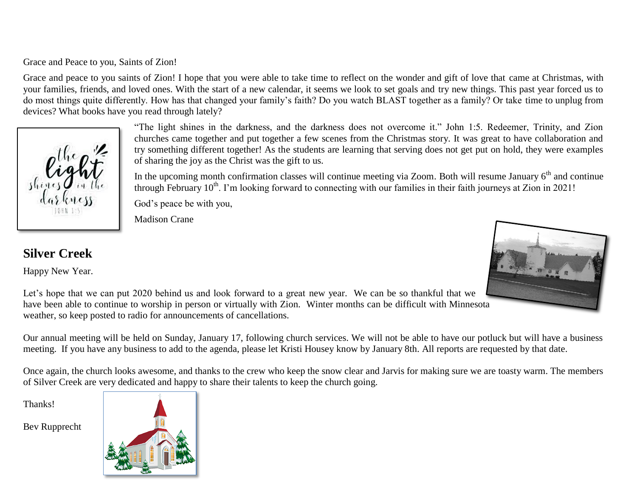Grace and Peace to you, Saints of Zion!

Grace and peace to you saints of Zion! I hope that you were able to take time to reflect on the wonder and gift of love that came at Christmas, with your families, friends, and loved ones. With the start of a new calendar, it seems we look to set goals and try new things. This past year forced us to do most things quite differently. How has that changed your family's faith? Do you watch BLAST together as a family? Or take time to unplug from devices? What books have you read through lately?



#### "The light shines in the darkness, and the darkness does not overcome it." John 1:5. Redeemer, Trinity, and Zion churches came together and put together a few scenes from the Christmas story. It was great to have collaboration and try something different together! As the students are learning that serving does not get put on hold, they were examples of sharing the joy as the Christ was the gift to us.

In the upcoming month confirmation classes will continue meeting via Zoom. Both will resume January  $6<sup>th</sup>$  and continue through February  $10^{th}$ . I'm looking forward to connecting with our families in their faith journeys at Zion in 2021!

God's peace be with you,

Madison Crane

# **Silver Creek**

Happy New Year.



Let's hope that we can put 2020 behind us and look forward to a great new year. We can be so thankful that we have been able to continue to worship in person or virtually with Zion. Winter months can be difficult with Minnesota weather, so keep posted to radio for announcements of cancellations.

Our annual meeting will be held on Sunday, January 17, following church services. We will not be able to have our potluck but will have a business meeting. If you have any business to add to the agenda, please let Kristi Housey know by January 8th. All reports are requested by that date.

Once again, the church looks awesome, and thanks to the crew who keep the snow clear and Jarvis for making sure we are toasty warm. The members of Silver Creek are very dedicated and happy to share their talents to keep the church going.

Thanks!

Bev Rupprecht

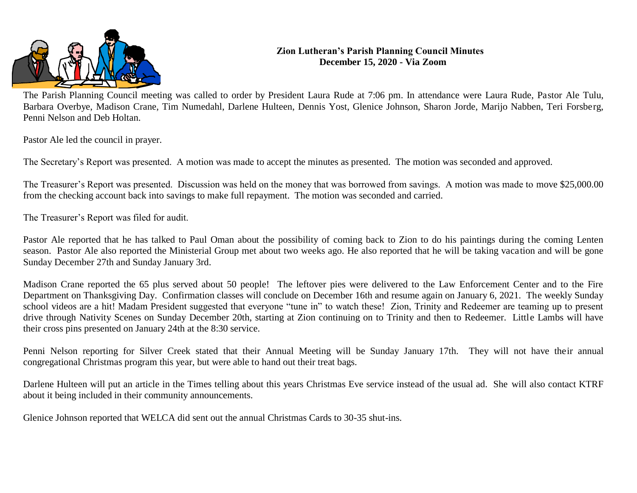

#### **Zion Lutheran's Parish Planning Council Minutes December 15, 2020 - Via Zoom**

The Parish Planning Council meeting was called to order by President Laura Rude at 7:06 pm. In attendance were Laura Rude, Pastor Ale Tulu, Barbara Overbye, Madison Crane, Tim Numedahl, Darlene Hulteen, Dennis Yost, Glenice Johnson, Sharon Jorde, Marijo Nabben, Teri Forsberg, Penni Nelson and Deb Holtan.

Pastor Ale led the council in prayer.

The Secretary's Report was presented. A motion was made to accept the minutes as presented. The motion was seconded and approved.

The Treasurer's Report was presented. Discussion was held on the money that was borrowed from savings. A motion was made to move \$25,000.00 from the checking account back into savings to make full repayment. The motion was seconded and carried.

The Treasurer's Report was filed for audit.

Pastor Ale reported that he has talked to Paul Oman about the possibility of coming back to Zion to do his paintings during the coming Lenten season. Pastor Ale also reported the Ministerial Group met about two weeks ago. He also reported that he will be taking vacation and will be gone Sunday December 27th and Sunday January 3rd.

Madison Crane reported the 65 plus served about 50 people! The leftover pies were delivered to the Law Enforcement Center and to the Fire Department on Thanksgiving Day. Confirmation classes will conclude on December 16th and resume again on January 6, 2021. The weekly Sunday school videos are a hit! Madam President suggested that everyone "tune in" to watch these! Zion, Trinity and Redeemer are teaming up to present drive through Nativity Scenes on Sunday December 20th, starting at Zion continuing on to Trinity and then to Redeemer. Little Lambs will have their cross pins presented on January 24th at the 8:30 service.

Penni Nelson reporting for Silver Creek stated that their Annual Meeting will be Sunday January 17th. They will not have their annual congregational Christmas program this year, but were able to hand out their treat bags.

Darlene Hulteen will put an article in the Times telling about this years Christmas Eve service instead of the usual ad. She will also contact KTRF about it being included in their community announcements.

Glenice Johnson reported that WELCA did sent out the annual Christmas Cards to 30-35 shut-ins.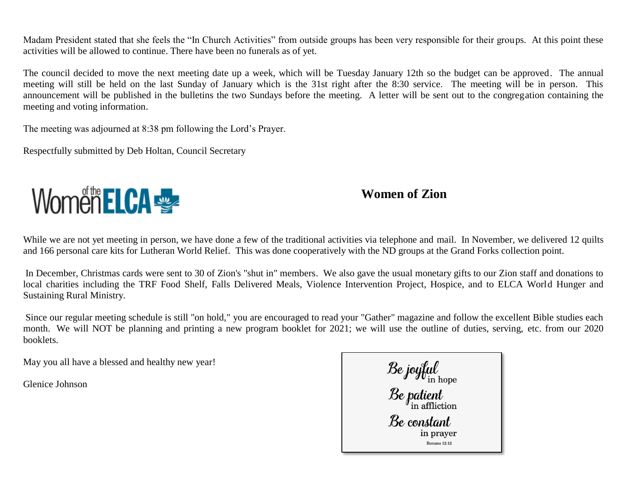Madam President stated that she feels the "In Church Activities" from outside groups has been very responsible for their groups. At this point these activities will be allowed to continue. There have been no funerals as of yet.

The council decided to move the next meeting date up a week, which will be Tuesday January 12th so the budget can be approved. The annual meeting will still be held on the last Sunday of January which is the 31st right after the 8:30 service. The meeting will be in person. This announcement will be published in the bulletins the two Sundays before the meeting. A letter will be sent out to the congregation containing the meeting and voting information.

The meeting was adjourned at 8:38 pm following the Lord's Prayer.

Respectfully submitted by Deb Holtan, Council Secretary

# Women**ELCA -**

# **Women of Zion**

While we are not yet meeting in person, we have done a few of the traditional activities via telephone and mail. In November, we delivered 12 quilts and 166 personal care kits for Lutheran World Relief. This was done cooperatively with the ND groups at the Grand Forks collection point.

In December, Christmas cards were sent to 30 of Zion's "shut in" members. We also gave the usual monetary gifts to our Zion staff and donations to local charities including the TRF Food Shelf, Falls Delivered Meals, Violence Intervention Project, Hospice, and to ELCA World Hunger and Sustaining Rural Ministry.

Since our regular meeting schedule is still "on hold," you are encouraged to read your "Gather" magazine and follow the excellent Bible studies each month. We will NOT be planning and printing a new program booklet for 2021; we will use the outline of duties, serving, etc. from our 2020 booklets.

May you all have a blessed and healthy new year!

Glenice Johnson

 ${\mathcal B}$ e joyful ${\mathcal B}$ e patient $\liminf_{\text{in {\rm {\rm{affiction}}}}}$ Be constant in prayer Romans 12:12